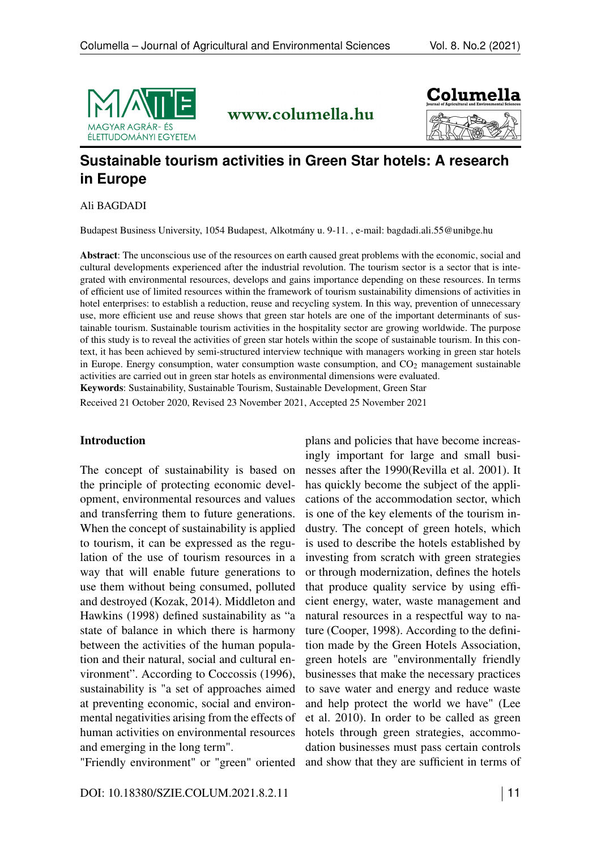

www.columella.hu



# **Sustainable tourism activities in Green Star hotels: A research in Europe**

Ali BAGDADI

Budapest Business University, 1054 Budapest, Alkotmány u. 9-11. , e-mail:<bagdadi.ali.55@unibge.hu>

Abstract: The unconscious use of the resources on earth caused great problems with the economic, social and cultural developments experienced after the industrial revolution. The tourism sector is a sector that is integrated with environmental resources, develops and gains importance depending on these resources. In terms of efficient use of limited resources within the framework of tourism sustainability dimensions of activities in hotel enterprises: to establish a reduction, reuse and recycling system. In this way, prevention of unnecessary use, more efficient use and reuse shows that green star hotels are one of the important determinants of sustainable tourism. Sustainable tourism activities in the hospitality sector are growing worldwide. The purpose of this study is to reveal the activities of green star hotels within the scope of sustainable tourism. In this context, it has been achieved by semi-structured interview technique with managers working in green star hotels in Europe. Energy consumption, water consumption waste consumption, and  $CO<sub>2</sub>$  management sustainable activities are carried out in green star hotels as environmental dimensions were evaluated. Keywords: Sustainability, Sustainable Tourism, Sustainable Development, Green Star

Received 21 October 2020, Revised 23 November 2021, Accepted 25 November 2021

#### Introduction

The concept of sustainability is based on the principle of protecting economic development, environmental resources and values and transferring them to future generations. When the concept of sustainability is applied to tourism, it can be expressed as the regulation of the use of tourism resources in a way that will enable future generations to use them without being consumed, polluted and destroyed (Kozak, 2014). Middleton and Hawkins (1998) defined sustainability as "a state of balance in which there is harmony between the activities of the human population and their natural, social and cultural environment". According to Coccossis (1996), sustainability is "a set of approaches aimed at preventing economic, social and environmental negativities arising from the effects of human activities on environmental resources and emerging in the long term".

"Friendly environment" or "green" oriented

plans and policies that have become increasingly important for large and small businesses after the 1990(Revilla et al. 2001). It has quickly become the subject of the applications of the accommodation sector, which is one of the key elements of the tourism industry. The concept of green hotels, which is used to describe the hotels established by investing from scratch with green strategies or through modernization, defines the hotels that produce quality service by using efficient energy, water, waste management and natural resources in a respectful way to nature (Cooper, 1998). According to the definition made by the Green Hotels Association, green hotels are "environmentally friendly businesses that make the necessary practices to save water and energy and reduce waste and help protect the world we have" (Lee et al. 2010). In order to be called as green hotels through green strategies, accommodation businesses must pass certain controls and show that they are sufficient in terms of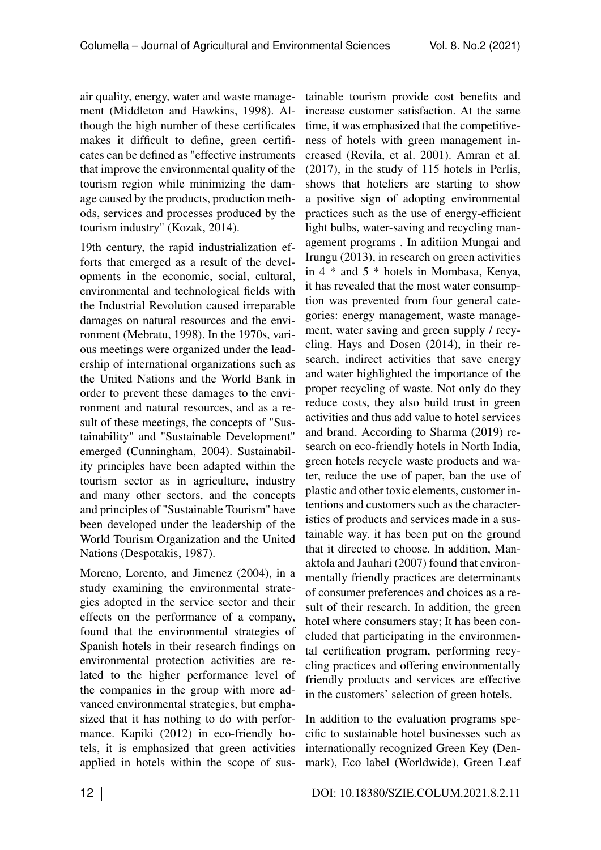air quality, energy, water and waste management (Middleton and Hawkins, 1998). Although the high number of these certificates makes it difficult to define, green certificates can be defined as "effective instruments that improve the environmental quality of the tourism region while minimizing the damage caused by the products, production methods, services and processes produced by the tourism industry" (Kozak, 2014).

19th century, the rapid industrialization efforts that emerged as a result of the developments in the economic, social, cultural, environmental and technological fields with the Industrial Revolution caused irreparable damages on natural resources and the environment (Mebratu, 1998). In the 1970s, various meetings were organized under the leadership of international organizations such as the United Nations and the World Bank in order to prevent these damages to the environment and natural resources, and as a result of these meetings, the concepts of "Sustainability" and "Sustainable Development" emerged (Cunningham, 2004). Sustainability principles have been adapted within the tourism sector as in agriculture, industry and many other sectors, and the concepts and principles of "Sustainable Tourism" have been developed under the leadership of the World Tourism Organization and the United Nations (Despotakis, 1987).

Moreno, Lorento, and Jimenez (2004), in a study examining the environmental strategies adopted in the service sector and their effects on the performance of a company, found that the environmental strategies of Spanish hotels in their research findings on environmental protection activities are related to the higher performance level of the companies in the group with more advanced environmental strategies, but emphasized that it has nothing to do with performance. Kapiki (2012) in eco-friendly hotels, it is emphasized that green activities applied in hotels within the scope of sus-

tainable tourism provide cost benefits and increase customer satisfaction. At the same time, it was emphasized that the competitiveness of hotels with green management increased (Revila, et al. 2001). Amran et al. (2017), in the study of 115 hotels in Perlis, shows that hoteliers are starting to show a positive sign of adopting environmental practices such as the use of energy-efficient light bulbs, water-saving and recycling management programs . In aditiion Mungai and Irungu (2013), in research on green activities in 4 \* and 5 \* hotels in Mombasa, Kenya, it has revealed that the most water consumption was prevented from four general categories: energy management, waste management, water saving and green supply / recycling. Hays and Dosen (2014), in their research, indirect activities that save energy and water highlighted the importance of the proper recycling of waste. Not only do they reduce costs, they also build trust in green activities and thus add value to hotel services and brand. According to Sharma (2019) research on eco-friendly hotels in North India, green hotels recycle waste products and water, reduce the use of paper, ban the use of plastic and other toxic elements, customer intentions and customers such as the characteristics of products and services made in a sustainable way. it has been put on the ground that it directed to choose. In addition, Manaktola and Jauhari (2007) found that environmentally friendly practices are determinants of consumer preferences and choices as a result of their research. In addition, the green hotel where consumers stay; It has been concluded that participating in the environmental certification program, performing recycling practices and offering environmentally friendly products and services are effective in the customers' selection of green hotels.

In addition to the evaluation programs specific to sustainable hotel businesses such as internationally recognized Green Key (Denmark), Eco label (Worldwide), Green Leaf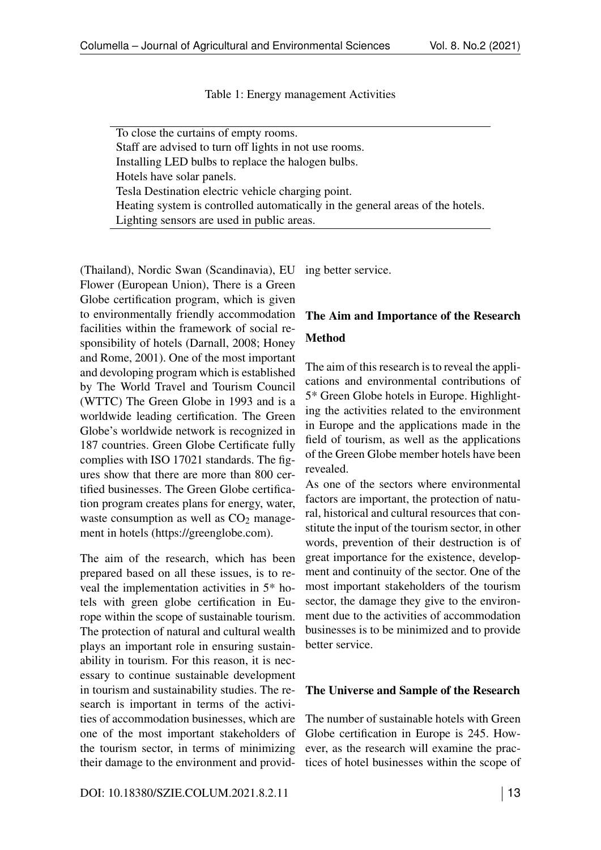Table 1: Energy management Activities

<span id="page-2-0"></span>To close the curtains of empty rooms. Staff are advised to turn off lights in not use rooms. Installing LED bulbs to replace the halogen bulbs. Hotels have solar panels. Tesla Destination electric vehicle charging point. Heating system is controlled automatically in the general areas of the hotels. Lighting sensors are used in public areas.

(Thailand), Nordic Swan (Scandinavia), EU Flower (European Union), There is a Green Globe certification program, which is given to environmentally friendly accommodation facilities within the framework of social responsibility of hotels (Darnall, 2008; Honey and Rome, 2001). One of the most important and devoloping program which is established by The World Travel and Tourism Council (WTTC) The Green Globe in 1993 and is a worldwide leading certification. The Green Globe's worldwide network is recognized in 187 countries. Green Globe Certificate fully complies with ISO 17021 standards. The figures show that there are more than 800 certified businesses. The Green Globe certification program creates plans for energy, water, waste consumption as well as  $CO<sub>2</sub>$  management in hotels [\(https://greenglobe.com\)](https://greenglobe.com).

The aim of the research, which has been prepared based on all these issues, is to reveal the implementation activities in 5\* hotels with green globe certification in Europe within the scope of sustainable tourism. The protection of natural and cultural wealth plays an important role in ensuring sustainability in tourism. For this reason, it is necessary to continue sustainable development in tourism and sustainability studies. The research is important in terms of the activities of accommodation businesses, which are one of the most important stakeholders of the tourism sector, in terms of minimizing their damage to the environment and provid-

ing better service.

# The Aim and Importance of the Research Method

The aim of this research is to reveal the applications and environmental contributions of 5\* Green Globe hotels in Europe. Highlighting the activities related to the environment in Europe and the applications made in the field of tourism, as well as the applications of the Green Globe member hotels have been revealed.

As one of the sectors where environmental factors are important, the protection of natural, historical and cultural resources that constitute the input of the tourism sector, in other words, prevention of their destruction is of great importance for the existence, development and continuity of the sector. One of the most important stakeholders of the tourism sector, the damage they give to the environment due to the activities of accommodation businesses is to be minimized and to provide better service.

### The Universe and Sample of the Research

The number of sustainable hotels with Green Globe certification in Europe is 245. However, as the research will examine the practices of hotel businesses within the scope of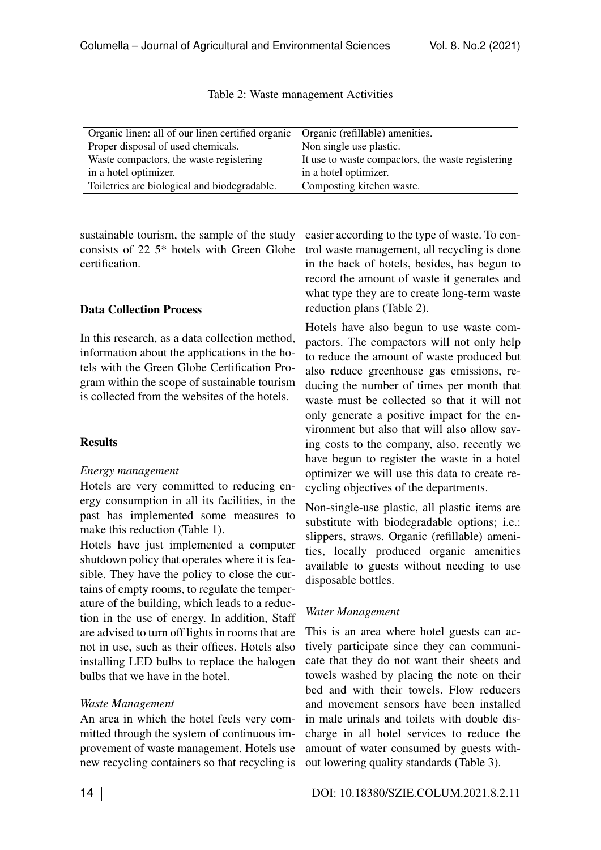<span id="page-3-0"></span>

| Organic linen: all of our linen certified organic | Organic (refillable) amenities.                   |
|---------------------------------------------------|---------------------------------------------------|
| Proper disposal of used chemicals.                | Non single use plastic.                           |
| Waste compactors, the waste registering           | It use to waste compactors, the waste registering |
| in a hotel optimizer.                             | in a hotel optimizer.                             |
| Toiletries are biological and biodegradable.      | Composting kitchen waste.                         |

Table 2: Waste management Activities

sustainable tourism, the sample of the study consists of 22 5\* hotels with Green Globe certification.

### Data Collection Process

In this research, as a data collection method, information about the applications in the hotels with the Green Globe Certification Program within the scope of sustainable tourism is collected from the websites of the hotels.

# **Results**

### *Energy management*

Hotels are very committed to reducing energy consumption in all its facilities, in the past has implemented some measures to make this reduction (Table [1\)](#page-2-0).

Hotels have just implemented a computer shutdown policy that operates where it is feasible. They have the policy to close the curtains of empty rooms, to regulate the temperature of the building, which leads to a reduction in the use of energy. In addition, Staff are advised to turn off lights in rooms that are not in use, such as their offices. Hotels also installing LED bulbs to replace the halogen bulbs that we have in the hotel.

### *Waste Management*

An area in which the hotel feels very committed through the system of continuous improvement of waste management. Hotels use new recycling containers so that recycling is

easier according to the type of waste. To control waste management, all recycling is done in the back of hotels, besides, has begun to record the amount of waste it generates and what type they are to create long-term waste reduction plans (Table [2\)](#page-3-0).

Hotels have also begun to use waste compactors. The compactors will not only help to reduce the amount of waste produced but also reduce greenhouse gas emissions, reducing the number of times per month that waste must be collected so that it will not only generate a positive impact for the environment but also that will also allow saving costs to the company, also, recently we have begun to register the waste in a hotel optimizer we will use this data to create recycling objectives of the departments.

Non-single-use plastic, all plastic items are substitute with biodegradable options; i.e.: slippers, straws. Organic (refillable) amenities, locally produced organic amenities available to guests without needing to use disposable bottles.

# *Water Management*

This is an area where hotel guests can actively participate since they can communicate that they do not want their sheets and towels washed by placing the note on their bed and with their towels. Flow reducers and movement sensors have been installed in male urinals and toilets with double discharge in all hotel services to reduce the amount of water consumed by guests without lowering quality standards (Table [3\)](#page-4-0).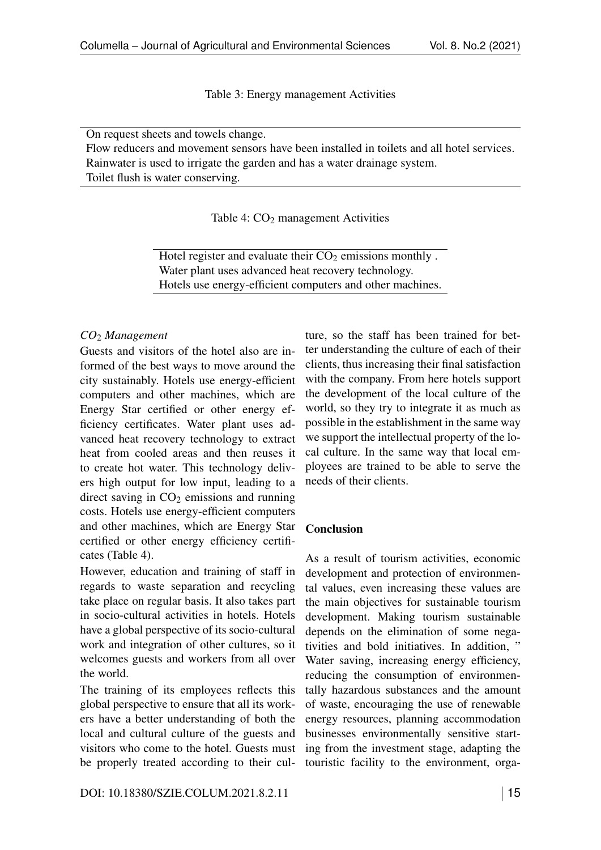Table 3: Energy management Activities

<span id="page-4-0"></span>On request sheets and towels change.

<span id="page-4-1"></span>Flow reducers and movement sensors have been installed in toilets and all hotel services. Rainwater is used to irrigate the garden and has a water drainage system. Toilet flush is water conserving.

Table 4:  $CO<sub>2</sub>$  management Activities

Hotel register and evaluate their  $CO<sub>2</sub>$  emissions monthly. Water plant uses advanced heat recovery technology. Hotels use energy-efficient computers and other machines.

### *CO*<sup>2</sup> *Management*

Guests and visitors of the hotel also are informed of the best ways to move around the city sustainably. Hotels use energy-efficient computers and other machines, which are Energy Star certified or other energy efficiency certificates. Water plant uses advanced heat recovery technology to extract heat from cooled areas and then reuses it to create hot water. This technology delivers high output for low input, leading to a direct saving in  $CO<sub>2</sub>$  emissions and running costs. Hotels use energy-efficient computers and other machines, which are Energy Star certified or other energy efficiency certificates (Table [4\)](#page-4-1).

However, education and training of staff in regards to waste separation and recycling take place on regular basis. It also takes part in socio-cultural activities in hotels. Hotels have a global perspective of its socio-cultural work and integration of other cultures, so it welcomes guests and workers from all over the world.

The training of its employees reflects this global perspective to ensure that all its workers have a better understanding of both the local and cultural culture of the guests and visitors who come to the hotel. Guests must be properly treated according to their culture, so the staff has been trained for better understanding the culture of each of their clients, thus increasing their final satisfaction with the company. From here hotels support the development of the local culture of the world, so they try to integrate it as much as possible in the establishment in the same way we support the intellectual property of the local culture. In the same way that local employees are trained to be able to serve the needs of their clients.

### Conclusion

As a result of tourism activities, economic development and protection of environmental values, even increasing these values are the main objectives for sustainable tourism development. Making tourism sustainable depends on the elimination of some negativities and bold initiatives. In addition, " Water saving, increasing energy efficiency, reducing the consumption of environmentally hazardous substances and the amount of waste, encouraging the use of renewable energy resources, planning accommodation businesses environmentally sensitive starting from the investment stage, adapting the touristic facility to the environment, orga